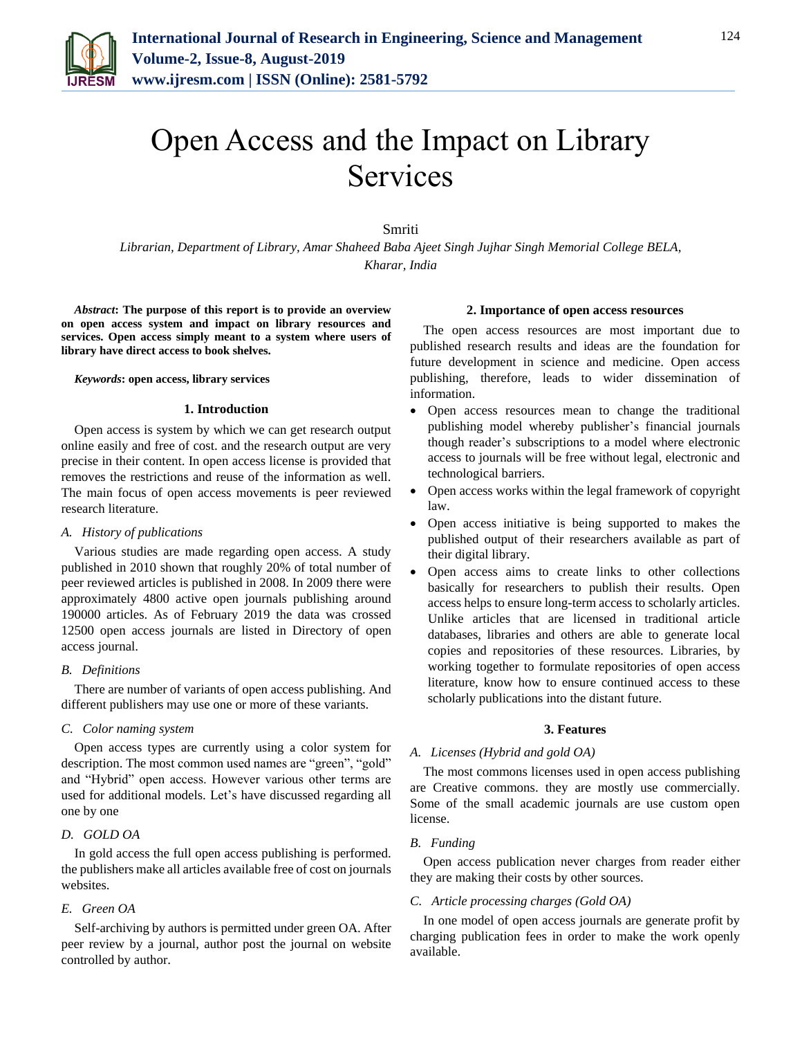

# Open Access and the Impact on Library Services

Smriti

*Librarian, Department of Library, Amar Shaheed Baba Ajeet Singh Jujhar Singh Memorial College BELA, Kharar, India*

*Abstract***: The purpose of this report is to provide an overview on open access system and impact on library resources and services. Open access simply meant to a system where users of library have direct access to book shelves.**

#### *Keywords***: open access, library services**

#### **1. Introduction**

Open access is system by which we can get research output online easily and free of cost. and the research output are very precise in their content. In open access license is provided that removes the restrictions and reuse of the information as well. The main focus of open access movements is peer reviewed research literature.

## *A. History of publications*

Various studies are made regarding open access. A study published in 2010 shown that roughly 20% of total number of peer reviewed articles is published in 2008. In 2009 there were approximately 4800 active open journals publishing around 190000 articles. As of February 2019 the data was crossed 12500 open access journals are listed in Directory of open access journal.

#### *B. Definitions*

There are number of variants of open access publishing. And different publishers may use one or more of these variants.

#### *C. Color naming system*

Open access types are currently using a color system for description. The most common used names are "green", "gold" and "Hybrid" open access. However various other terms are used for additional models. Let's have discussed regarding all one by one

# *D. GOLD OA*

In gold access the full open access publishing is performed. the publishers make all articles available free of cost on journals websites.

#### *E. Green OA*

Self-archiving by authors is permitted under green OA. After peer review by a journal, author post the journal on website controlled by author.

#### **2. Importance of open access resources**

The open access resources are most important due to published research results and ideas are the foundation for future development in science and medicine. Open access publishing, therefore, leads to wider dissemination of information.

- Open access resources mean to change the traditional publishing model whereby publisher's financial journals though reader's subscriptions to a model where electronic access to journals will be free without legal, electronic and technological barriers.
- Open access works within the legal framework of copyright law.
- Open access initiative is being supported to makes the published output of their researchers available as part of their digital library.
- Open access aims to create links to other collections basically for researchers to publish their results. Open access helps to ensure long-term access to scholarly articles. Unlike articles that are licensed in traditional article databases, libraries and others are able to generate local copies and repositories of these resources. Libraries, by working together to formulate repositories of open access literature, know how to ensure continued access to these scholarly publications into the distant future.

#### **3. Features**

#### *A. Licenses (Hybrid and gold OA)*

The most commons licenses used in open access publishing are Creative commons. they are mostly use commercially. Some of the small academic journals are use custom open license.

## *B. Funding*

Open access publication never charges from reader either they are making their costs by other sources.

# *C. Article processing charges (Gold OA)*

In one model of open access journals are generate profit by charging publication fees in order to make the work openly available.